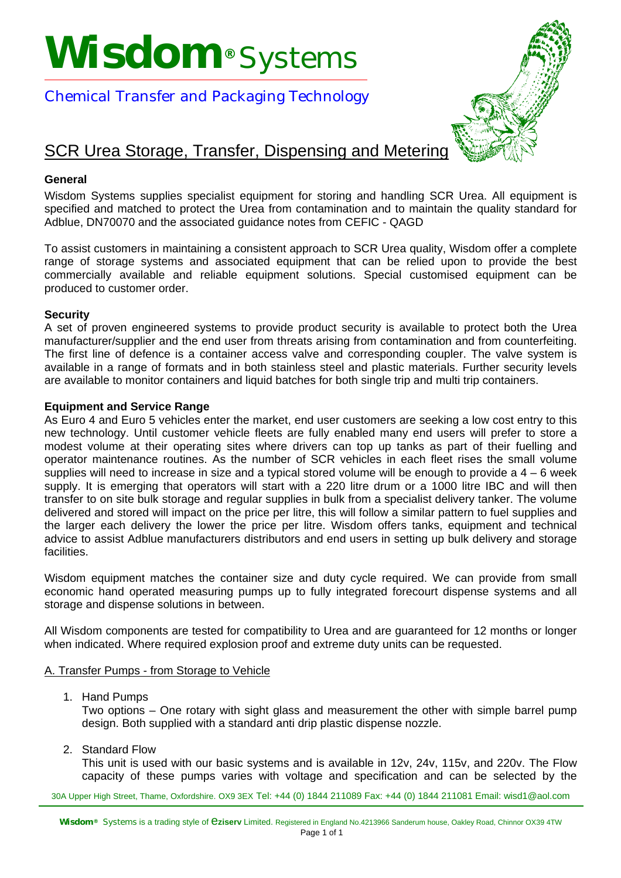# **Wisdom®** Systems



## Chemical Transfer and Packaging Technology

## SCR Urea Storage, Transfer, Dispensing and Metering

#### **General**

Wisdom Systems supplies specialist equipment for storing and handling SCR Urea. All equipment is specified and matched to protect the Urea from contamination and to maintain the quality standard for Adblue, DN70070 and the associated guidance notes from CEFIC - QAGD

To assist customers in maintaining a consistent approach to SCR Urea quality, Wisdom offer a complete range of storage systems and associated equipment that can be relied upon to provide the best commercially available and reliable equipment solutions. Special customised equipment can be produced to customer order.

#### **Security**

A set of proven engineered systems to provide product security is available to protect both the Urea manufacturer/supplier and the end user from threats arising from contamination and from counterfeiting. The first line of defence is a container access valve and corresponding coupler. The valve system is available in a range of formats and in both stainless steel and plastic materials. Further security levels are available to monitor containers and liquid batches for both single trip and multi trip containers.

#### **Equipment and Service Range**

As Euro 4 and Euro 5 vehicles enter the market, end user customers are seeking a low cost entry to this new technology. Until customer vehicle fleets are fully enabled many end users will prefer to store a modest volume at their operating sites where drivers can top up tanks as part of their fuelling and operator maintenance routines. As the number of SCR vehicles in each fleet rises the small volume supplies will need to increase in size and a typical stored volume will be enough to provide a 4 – 6 week supply. It is emerging that operators will start with a 220 litre drum or a 1000 litre IBC and will then transfer to on site bulk storage and regular supplies in bulk from a specialist delivery tanker. The volume delivered and stored will impact on the price per litre, this will follow a similar pattern to fuel supplies and the larger each delivery the lower the price per litre. Wisdom offers tanks, equipment and technical advice to assist Adblue manufacturers distributors and end users in setting up bulk delivery and storage facilities.

Wisdom equipment matches the container size and duty cycle required. We can provide from small economic hand operated measuring pumps up to fully integrated forecourt dispense systems and all storage and dispense solutions in between.

All Wisdom components are tested for compatibility to Urea and are guaranteed for 12 months or longer when indicated. Where required explosion proof and extreme duty units can be requested.

#### A. Transfer Pumps - from Storage to Vehicle

1. Hand Pumps

Two options – One rotary with sight glass and measurement the other with simple barrel pump design. Both supplied with a standard anti drip plastic dispense nozzle.

2. Standard Flow

This unit is used with our basic systems and is available in 12v, 24v, 115v, and 220v. The Flow capacity of these pumps varies with voltage and specification and can be selected by the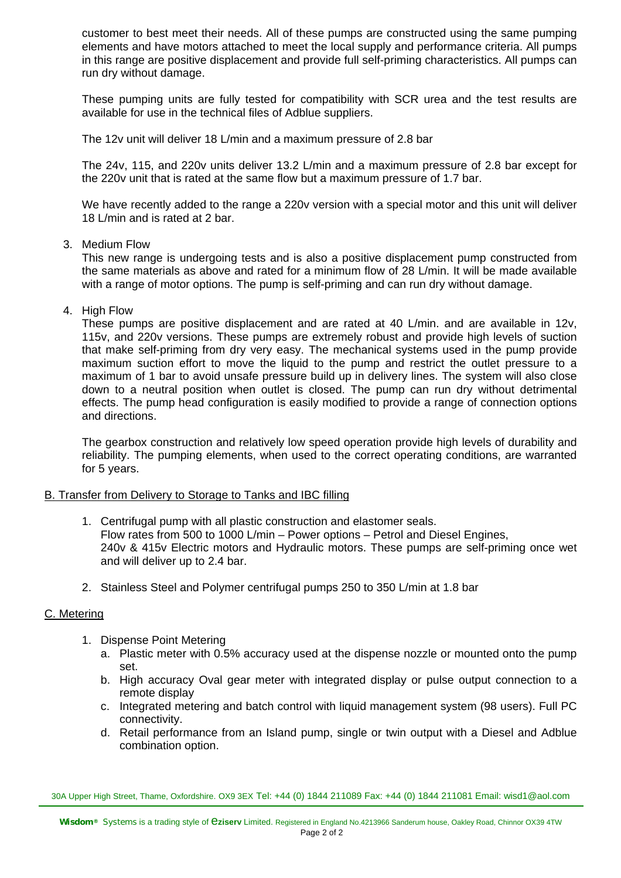customer to best meet their needs. All of these pumps are constructed using the same pumping elements and have motors attached to meet the local supply and performance criteria. All pumps in this range are positive displacement and provide full self-priming characteristics. All pumps can run dry without damage.

These pumping units are fully tested for compatibility with SCR urea and the test results are available for use in the technical files of Adblue suppliers.

The 12v unit will deliver 18 L/min and a maximum pressure of 2.8 bar

The 24v, 115, and 220v units deliver 13.2 L/min and a maximum pressure of 2.8 bar except for the 220v unit that is rated at the same flow but a maximum pressure of 1.7 bar.

We have recently added to the range a 220v version with a special motor and this unit will deliver 18 L/min and is rated at 2 bar.

3. Medium Flow

This new range is undergoing tests and is also a positive displacement pump constructed from the same materials as above and rated for a minimum flow of 28 L/min. It will be made available with a range of motor options. The pump is self-priming and can run dry without damage.

4. High Flow

These pumps are positive displacement and are rated at 40 L/min. and are available in 12v, 115v, and 220v versions. These pumps are extremely robust and provide high levels of suction that make self-priming from dry very easy. The mechanical systems used in the pump provide maximum suction effort to move the liquid to the pump and restrict the outlet pressure to a maximum of 1 bar to avoid unsafe pressure build up in delivery lines. The system will also close down to a neutral position when outlet is closed. The pump can run dry without detrimental effects. The pump head configuration is easily modified to provide a range of connection options and directions.

The gearbox construction and relatively low speed operation provide high levels of durability and reliability. The pumping elements, when used to the correct operating conditions, are warranted for 5 years.

#### B. Transfer from Delivery to Storage to Tanks and IBC filling

- 1. Centrifugal pump with all plastic construction and elastomer seals. Flow rates from 500 to 1000 L/min – Power options – Petrol and Diesel Engines, 240v & 415v Electric motors and Hydraulic motors. These pumps are self-priming once wet and will deliver up to 2.4 bar.
- 2. Stainless Steel and Polymer centrifugal pumps 250 to 350 L/min at 1.8 bar

#### C. Metering

- 1. Dispense Point Metering
	- a. Plastic meter with 0.5% accuracy used at the dispense nozzle or mounted onto the pump set.
	- b. High accuracy Oval gear meter with integrated display or pulse output connection to a remote display
	- c. Integrated metering and batch control with liquid management system (98 users). Full PC connectivity.
	- d. Retail performance from an Island pump, single or twin output with a Diesel and Adblue combination option.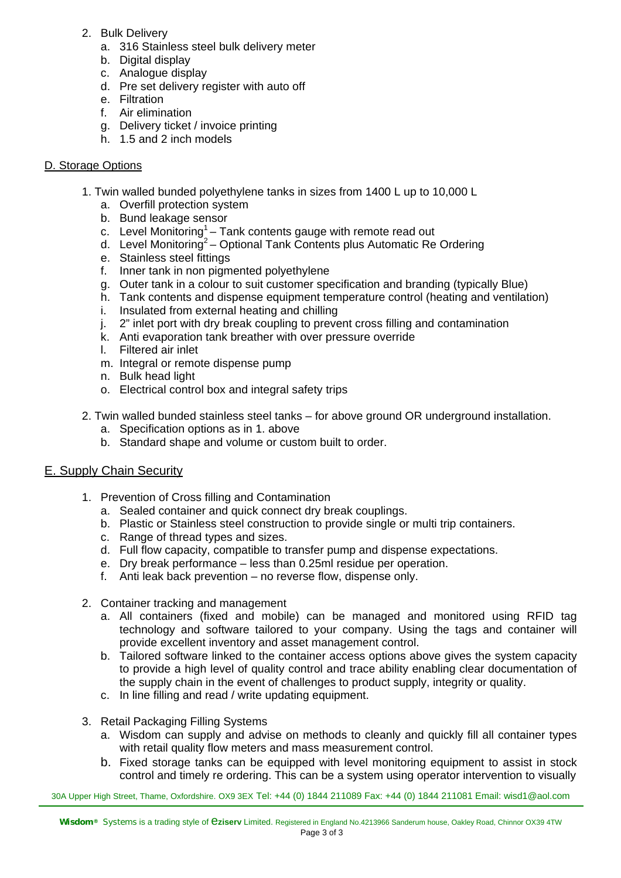- 2. Bulk Delivery
	- a. 316 Stainless steel bulk delivery meter
	- b. Digital display
	- c. Analogue display
	- d. Pre set delivery register with auto off
	- e. Filtration
	- f. Air elimination
	- g. Delivery ticket / invoice printing
	- h. 1.5 and 2 inch models

#### D. Storage Options

- 1. Twin walled bunded polyethylene tanks in sizes from 1400 L up to 10,000 L
	- a. Overfill protection system
	- b. Bund leakage sensor
	- c. Level Monitoring<sup>1</sup> Tank contents gauge with remote read out
	- d. Level Monitoring<sup>2</sup> Optional Tank Contents plus Automatic Re Ordering
	- e. Stainless steel fittings
	- f. Inner tank in non pigmented polyethylene
	- g. Outer tank in a colour to suit customer specification and branding (typically Blue)
	- h. Tank contents and dispense equipment temperature control (heating and ventilation)
	- i. Insulated from external heating and chilling
	- j. 2" inlet port with dry break coupling to prevent cross filling and contamination
	- k. Anti evaporation tank breather with over pressure override
	- l. Filtered air inlet
	- m. Integral or remote dispense pump
	- n. Bulk head light
	- o. Electrical control box and integral safety trips
- 2. Twin walled bunded stainless steel tanks for above ground OR underground installation.
	- a. Specification options as in 1. above
	- b. Standard shape and volume or custom built to order.

#### E. Supply Chain Security

- 1. Prevention of Cross filling and Contamination
	- a. Sealed container and quick connect dry break couplings.
	- b. Plastic or Stainless steel construction to provide single or multi trip containers.
	- c. Range of thread types and sizes.
	- d. Full flow capacity, compatible to transfer pump and dispense expectations.
	- e. Dry break performance less than 0.25ml residue per operation.
	- f. Anti leak back prevention no reverse flow, dispense only.
- 2. Container tracking and management
	- a. All containers (fixed and mobile) can be managed and monitored using RFID tag technology and software tailored to your company. Using the tags and container will provide excellent inventory and asset management control.
	- b. Tailored software linked to the container access options above gives the system capacity to provide a high level of quality control and trace ability enabling clear documentation of the supply chain in the event of challenges to product supply, integrity or quality.
	- c. In line filling and read / write updating equipment.
- 3. Retail Packaging Filling Systems
	- a. Wisdom can supply and advise on methods to cleanly and quickly fill all container types with retail quality flow meters and mass measurement control.
	- b. Fixed storage tanks can be equipped with level monitoring equipment to assist in stock control and timely re ordering. This can be a system using operator intervention to visually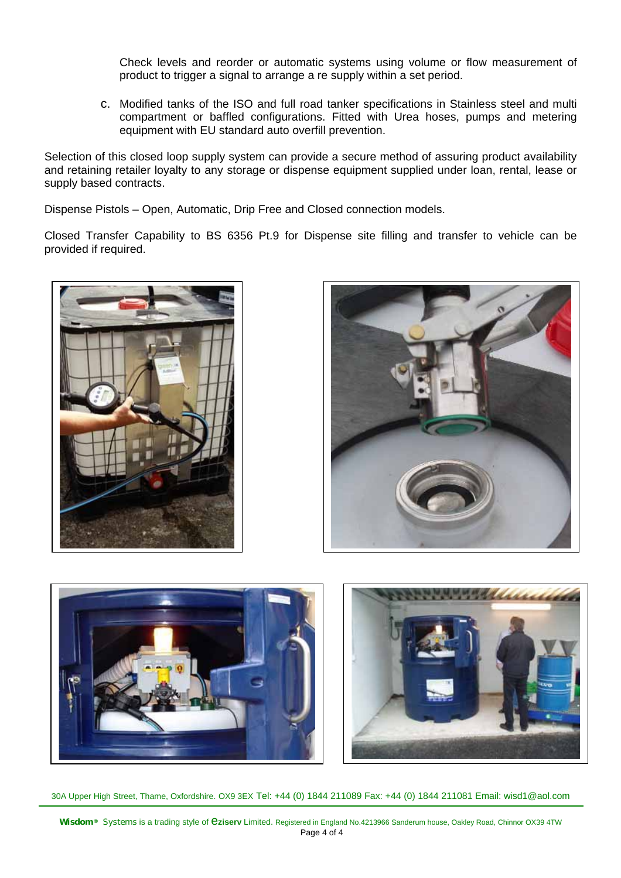Check levels and reorder or automatic systems using volume or flow measurement of product to trigger a signal to arrange a re supply within a set period.

c. Modified tanks of the ISO and full road tanker specifications in Stainless steel and multi compartment or baffled configurations. Fitted with Urea hoses, pumps and metering equipment with EU standard auto overfill prevention.

Selection of this closed loop supply system can provide a secure method of assuring product availability and retaining retailer loyalty to any storage or dispense equipment supplied under loan, rental, lease or supply based contracts.

Dispense Pistols – Open, Automatic, Drip Free and Closed connection models.

Closed Transfer Capability to BS 6356 Pt.9 for Dispense site filling and transfer to vehicle can be provided if required.





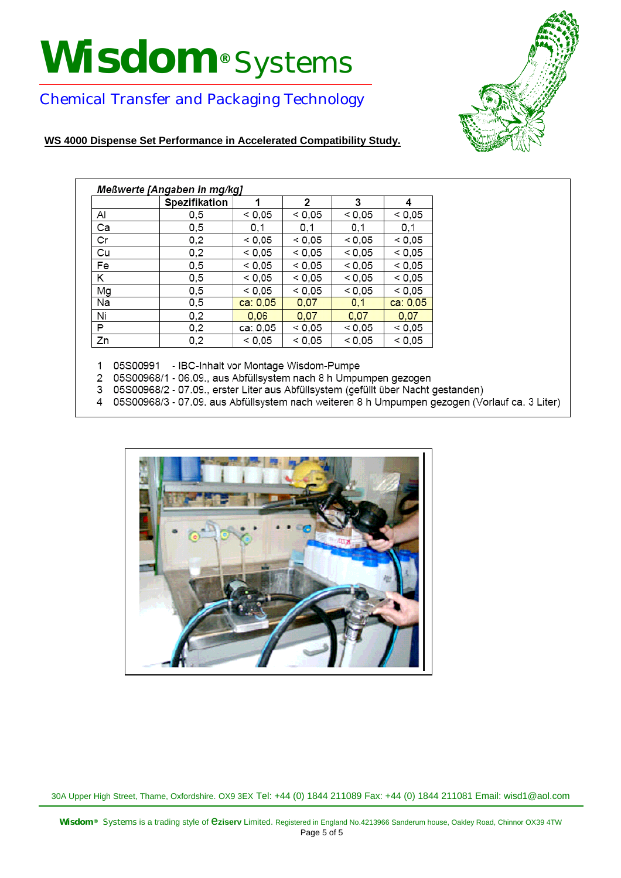# **Wisdom®** Systems



## Chemical Transfer and Packaging Technology

#### **WS 4000 Dispense Set Performance in Accelerated Compatibility Study.**

| Meßwerte [Angaben in mg/kg] |               |          |        |        |          |
|-----------------------------|---------------|----------|--------|--------|----------|
|                             | Spezifikation | 1        | 2      | 3      | 4        |
| Al                          | 0,5           | < 0.05   | < 0.05 | < 0.05 | < 0.05   |
| Ca                          | 0,5           | 0,1      | 0,1    | 0,1    | 0,1      |
| Cr                          | 0,2           | < 0.05   | < 0.05 | < 0.05 | < 0.05   |
| Cu                          | 0,2           | < 0.05   | < 0.05 | < 0.05 | $<$ 0,05 |
| Fe                          | 0,5           | < 0.05   | < 0.05 | < 0.05 | < 0.05   |
| Κ                           | 0,5           | < 0.05   | < 0.05 | < 0.05 | < 0.05   |
| Mg                          | 0,5           | < 0,05   | < 0.05 | < 0.05 | < 0.05   |
| Na                          | 0,5           | ca: 0,05 | 0,07   | 0,1    | ca: 0,05 |
| Ni                          | 0,2           | 0.06     | 0,07   | 0,07   | 0,07     |
| Ρ                           | 0,2           | ca: 0,05 | < 0.05 | < 0.05 | $<$ 0,05 |
| Zn                          | 0,2           | < 0.05   | < 0.05 | < 0.05 | < 0,05   |

1 05S00991 - IBC-Inhalt vor Montage Wisdom-Pumpe

- 2 05S00968/1 06.09., aus Abfüllsystem nach 8 h Umpumpen gezogen
- 3 05S00968/2 07.09., erster Liter aus Abfüllsystem (gefüllt über Nacht gestanden)
- 4 05S00968/3 07.09. aus Abfüllsystem nach weiteren 8 h Umpumpen gezogen (Vorlauf ca. 3 Liter)